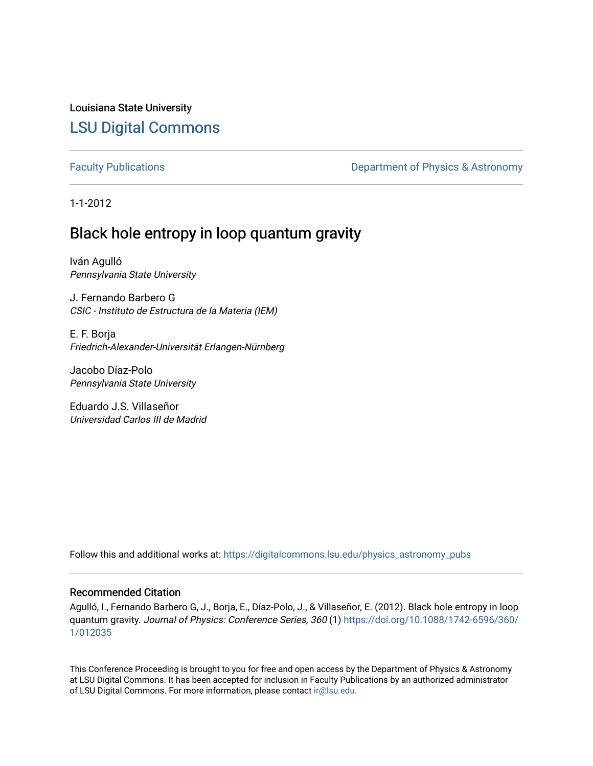Louisiana State University [LSU Digital Commons](https://digitalcommons.lsu.edu/)

[Faculty Publications](https://digitalcommons.lsu.edu/physics_astronomy_pubs) **Exercise 2 and Table 2 and Table 2 and Table 2 and Table 2 and Table 2 and Table 2 and Table 2 and Table 2 and Table 2 and Table 2 and Table 2 and Table 2 and Table 2 and Table 2 and Table 2 and Table** 

1-1-2012

# Black hole entropy in loop quantum gravity

Iván Agulló Pennsylvania State University

J. Fernando Barbero G CSIC - Instituto de Estructura de la Materia (IEM)

E. F. Borja Friedrich-Alexander-Universität Erlangen-Nürnberg

Jacobo Díaz-Polo Pennsylvania State University

Eduardo J.S. Villaseñor Universidad Carlos III de Madrid

Follow this and additional works at: [https://digitalcommons.lsu.edu/physics\\_astronomy\\_pubs](https://digitalcommons.lsu.edu/physics_astronomy_pubs?utm_source=digitalcommons.lsu.edu%2Fphysics_astronomy_pubs%2F180&utm_medium=PDF&utm_campaign=PDFCoverPages) 

### Recommended Citation

Agulló, I., Fernando Barbero G, J., Borja, E., Díaz-Polo, J., & Villaseñor, E. (2012). Black hole entropy in loop quantum gravity. Journal of Physics: Conference Series, 360 (1) [https://doi.org/10.1088/1742-6596/360/](https://doi.org/10.1088/1742-6596/360/1/012035) [1/012035](https://doi.org/10.1088/1742-6596/360/1/012035)

This Conference Proceeding is brought to you for free and open access by the Department of Physics & Astronomy at LSU Digital Commons. It has been accepted for inclusion in Faculty Publications by an authorized administrator of LSU Digital Commons. For more information, please contact [ir@lsu.edu](mailto:ir@lsu.edu).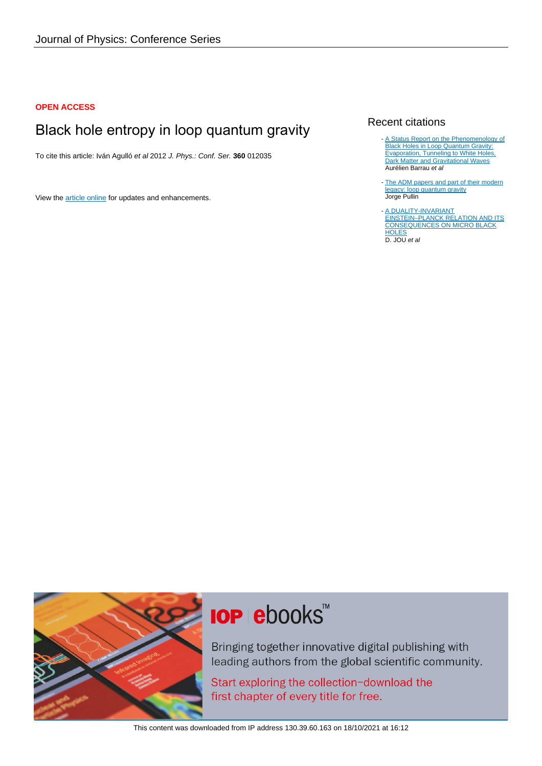### **OPEN ACCESS**

# Black hole entropy in loop quantum gravity

To cite this article: Iván Agulló et al 2012 J. Phys.: Conf. Ser. **360** 012035

View the [article online](https://doi.org/10.1088/1742-6596/360/1/012035) for updates and enhancements.

## Recent citations

- [A Status Report on the Phenomenology of](https://doi.org/10.3390/universe4100102) [Black Holes in Loop Quantum Gravity:](https://doi.org/10.3390/universe4100102) **[Evaporation, Tunneling to White Holes,](https://doi.org/10.3390/universe4100102)** [Dark Matter and Gravitational Waves](https://doi.org/10.3390/universe4100102) Aurélien Barrau et al
- [The ADM papers and part of their modern](http://iopscience.iop.org/0264-9381/32/12/124004) [legacy: loop quantum gravity](http://iopscience.iop.org/0264-9381/32/12/124004) Jorge Pullin
- [A DUALITY-INVARIANT](https://doi.org/10.1142/S0218271814500187) [EINSTEIN–PLANCK RELATION AND ITS](https://doi.org/10.1142/S0218271814500187) [CONSEQUENCES ON MICRO BLACK](https://doi.org/10.1142/S0218271814500187) **[HOLES](https://doi.org/10.1142/S0218271814500187)** D. JOU et al -



# **IOP ebooks**™

Bringing together innovative digital publishing with leading authors from the global scientific community.

Start exploring the collection-download the first chapter of every title for free.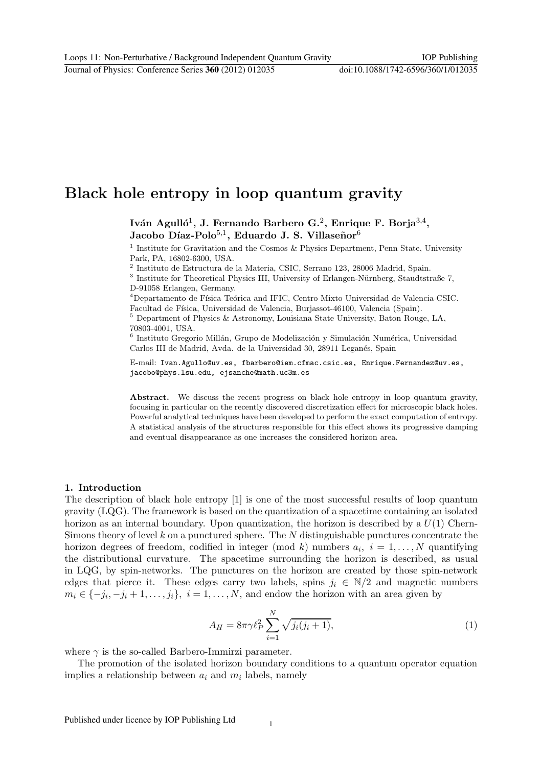# $\mathbf{F}$  **h**  $\mathbf{F}$  **h**  $\mathbf{F}$  **h**  $\mathbf{F}$  **g**

Iván Agulló<sup>1</sup>, J. Fernando Barbero G.<sup>2</sup>, Enrique F. Borja<sup>3,4</sup>, Jacobo Díaz-Polo<sup>5,1</sup>, Eduardo J. S. Villaseñor<sup>6</sup>

<sup>1</sup> Institute for Gravitation and the Cosmos & Physics Department, Penn State, University Park, PA, 16802-6300, USA.

 $^2$ Instituto de Estructura de la Materia, CSIC, Serrano 123, 28006 Madrid, Spain. $^3$ Institute for Theoretical Physics III, University of Erlangen-Nürnberg, Staudtstraße 7, D-91058 Erlangen, Germany.

 $4$ Departamento de Física Teórica and IFIC, Centro Mixto Universidad de Valencia-CSIC. Facultad de Física, Universidad de Valencia, Burjassot-46100, Valencia (Spain). 5 Department of Physics & Astronomy, Louisiana State University, Baton Rouge, LA,

70803-4001, USA.

 $6$  Instituto Gregorio Millán, Grupo de Modelización y Simulación Numérica, Universidad Carlos III de Madrid, Avda. de la Universidad 30, 28911 Leganés, Spain

E-mail: Ivan.Agullo@uv.es, fbarbero@iem.cfmac.csic.es, Enrique.Fernandez@uv.es, jacobo@phys.lsu.edu, ejsanche@math.uc3m.es

Abstract. We discuss the recent progress on black hole entropy in loop quantum gravity, focusing in particular on the recently discovered discretization effect for microscopic black holes. Powerful analytical techniques have been developed to perform the exact computation of entropy. A statistical analysis of the structures responsible for this effect shows its progressive damping and eventual disappearance as one increases the considered horizon area.

#### **1. Introduction**

The description of black hole entropy [1] is one of the most successful results of loop quantum gravity (LQG). The framework is based on the quantization of a spacetime containing an isolated horizon as an internal boundary. Upon quantization, the horizon is described by a  $U(1)$  Chern-Simons theory of level  $k$  on a punctured sphere. The  $N$  distinguishable punctures concentrate the horizon degrees of freedom, codified in integer (mod k) numbers  $a_i$ ,  $i = 1, \ldots, N$  quantifying the distributional curvature. The spacetime surrounding the horizon is described, as usual in LQG, by spin-networks. The punctures on the horizon are created by those spin-network edges that pierce it. These edges carry two labels, spins  $j_i \in N/2$  and magnetic numbers  $m_i \in \{-j_i, -j_i + 1, \ldots, j_i\}, i = 1, \ldots, N$ , and endow the horizon with an area given by

$$
A_H = 8\pi \gamma \ell_P^2 \sum_{i=1}^N \sqrt{j_i(j_i+1)},
$$
\n(1)

where  $\gamma$  is the so-called Barbero-Immirzi parameter.

The promotion of the isolated horizon boundary conditions to a quantum operator equation implies a relationship between  $a_i$  and  $m_i$  labels, namely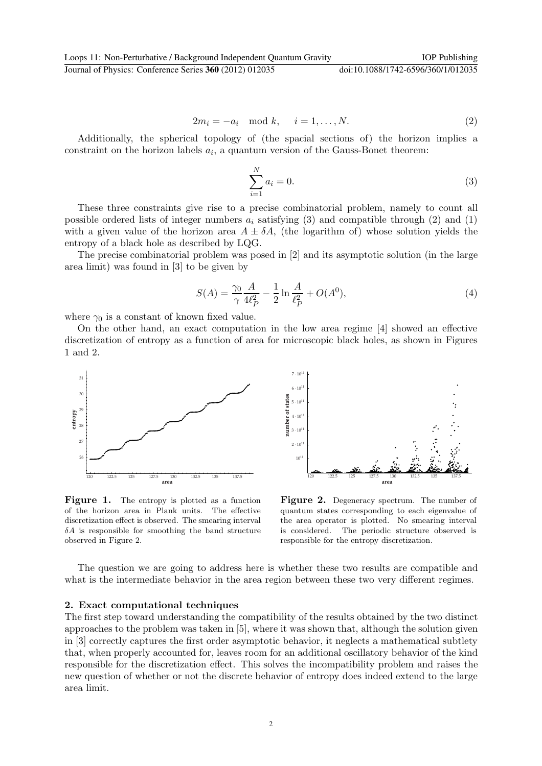$$
2m_i = -a_i \mod k, \quad i = 1, \dots, N. \tag{2}
$$

Additionally, the spherical topology of (the spacial sections of) the horizon implies a constraint on the horizon labels  $a_i$ , a quantum version of the Gauss-Bonet theorem:

$$
\sum_{i=1}^{N} a_i = 0.
$$
\n(3)

These three constraints give rise to a precise combinatorial problem, namely to count all possible ordered lists of integer numbers  $a_i$  satisfying (3) and compatible through (2) and (1) with a given value of the horizon area  $A \pm \delta A$ , (the logarithm of) whose solution yields the entropy of a black hole as described by LQG.

The precise combinatorial problem was posed in [2] and its asymptotic solution (in the large area limit) was found in [3] to be given by

$$
S(A) = \frac{\gamma_0}{\gamma} \frac{A}{4\ell_P^2} - \frac{1}{2} \ln \frac{A}{\ell_P^2} + O(A^0),\tag{4}
$$

where  $\gamma_0$  is a constant of known fixed value.

On the other hand, an exact computation in the low area regime [4] showed an effective discretization of entropy as a function of area for microscopic black holes, as shown in Figures 1 and 2.





**Figure 1.** The entropy is plotted as a function of the horizon area in Plank units. The effective discretization effect is observed. The smearing interval  $\delta A$  is responsible for smoothing the band structure observed in Figure 2.

**Figure 2.** Degeneracy spectrum. The number of quantum states corresponding to each eigenvalue of the area operator is plotted. No smearing interval is considered. The periodic structure observed is responsible for the entropy discretization.

The question we are going to address here is whether these two results are compatible and what is the intermediate behavior in the area region between these two very different regimes.

#### **2. Exact computational techniques**

The first step toward understanding the compatibility of the results obtained by the two distinct approaches to the problem was taken in [5], where it was shown that, although the solution given in [3] correctly captures the first order asymptotic behavior, it neglects a mathematical subtlety that, when properly accounted for, leaves room for an additional oscillatory behavior of the kind responsible for the discretization effect. This solves the incompatibility problem and raises the new question of whether or not the discrete behavior of entropy does indeed extend to the large area limit.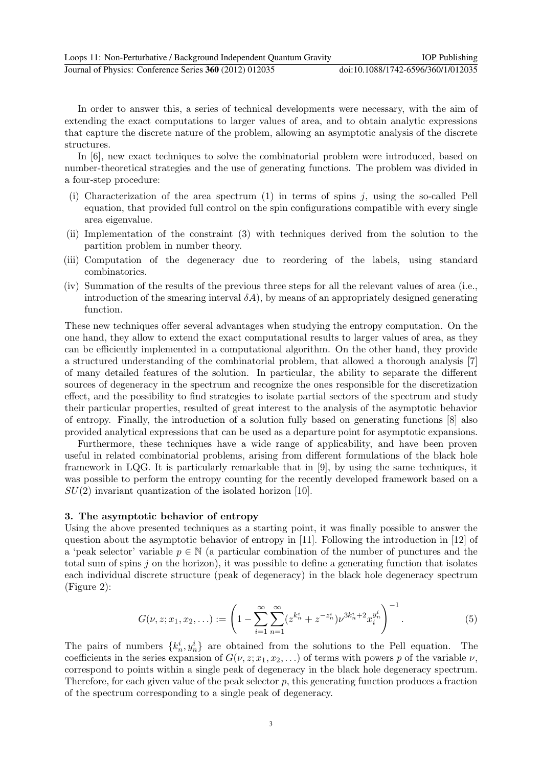Loops 11: Non-Perturbative / Background Independent Quantum Gravity IOP Publishing Journal of Physics: Conference Series **360** (2012) 012035 doi:10.1088/1742-6596/360/1/012035

In order to answer this, a series of technical developments were necessary, with the aim of

extending the exact computations to larger values of area, and to obtain analytic expressions that capture the discrete nature of the problem, allowing an asymptotic analysis of the discrete structures.

In [6], new exact techniques to solve the combinatorial problem were introduced, based on number-theoretical strategies and the use of generating functions. The problem was divided in a four-step procedure:

- (i) Characterization of the area spectrum  $(1)$  in terms of spins j, using the so-called Pell equation, that provided full control on the spin configurations compatible with every single area eigenvalue.
- (ii) Implementation of the constraint (3) with techniques derived from the solution to the partition problem in number theory.
- (iii) Computation of the degeneracy due to reordering of the labels, using standard combinatorics.
- (iv) Summation of the results of the previous three steps for all the relevant values of area (i.e., introduction of the smearing interval  $\delta A$ , by means of an appropriately designed generating function.

These new techniques offer several advantages when studying the entropy computation. On the one hand, they allow to extend the exact computational results to larger values of area, as they can be efficiently implemented in a computational algorithm. On the other hand, they provide a structured understanding of the combinatorial problem, that allowed a thorough analysis [7] of many detailed features of the solution. In particular, the ability to separate the different sources of degeneracy in the spectrum and recognize the ones responsible for the discretization effect, and the possibility to find strategies to isolate partial sectors of the spectrum and study their particular properties, resulted of great interest to the analysis of the asymptotic behavior of entropy. Finally, the introduction of a solution fully based on generating functions [8] also provided analytical expressions that can be used as a departure point for asymptotic expansions.

Furthermore, these techniques have a wide range of applicability, and have been proven useful in related combinatorial problems, arising from different formulations of the black hole framework in LQG. It is particularly remarkable that in [9], by using the same techniques, it was possible to perform the entropy counting for the recently developed framework based on a  $SU(2)$  invariant quantization of the isolated horizon [10].

## **3. The asymptotic behavior of entropy**

Using the above presented techniques as a starting point, it was finally possible to answer the question about the asymptotic behavior of entropy in [11]. Following the introduction in [12] of a 'peak selector' variable  $p \in \mathbb{N}$  (a particular combination of the number of punctures and the total sum of spins  $j$  on the horizon), it was possible to define a generating function that isolates each individual discrete structure (peak of degeneracy) in the black hole degeneracy spectrum (Figure 2):

$$
G(\nu, z; x_1, x_2, \ldots) := \left(1 - \sum_{i=1}^{\infty} \sum_{n=1}^{\infty} (z^{k_n^i} + z^{-z_n^i}) \nu^{3k_n^i + 2} x_i^{y_n^i} \right)^{-1}.
$$
 (5)

The pairs of numbers  $\{k_n^i, y_n^i\}$  are obtained from the solutions to the Pell equation. The coefficients in the series expansion of  $G(\nu, z; x_1, x_2,...)$  of terms with powers p of the variable  $\nu$ , correspond to points within a single peak of degeneracy in the black hole degeneracy spectrum. Therefore, for each given value of the peak selector  $p$ , this generating function produces a fraction of the spectrum corresponding to a single peak of degeneracy.